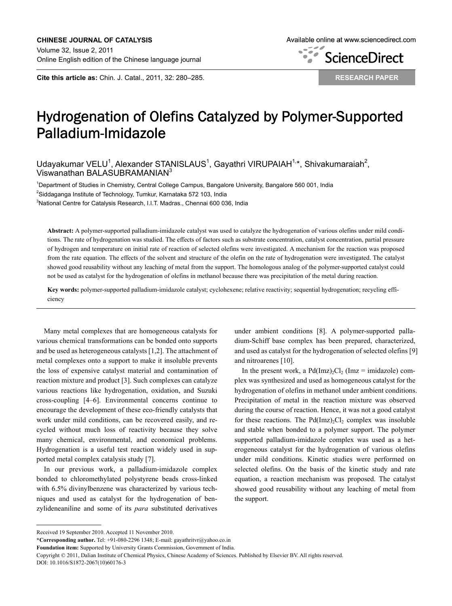**Cite this article as:** Chin. J. Catal., 2011, 32: 280–285.

**ScienceDirect**  $\overline{\phantom{a}}$ 

**RESEARCH PAPER**

# Hydrogenation of Olefins Catalyzed by Polymer-Supported Palladium-Imidazole

Udayakumar VELU<sup>1</sup>, Alexander STANISLAUS<sup>1</sup>, Gayathri VIRUPAIAH<sup>1,\*</sup>, Shivakumaraiah<sup>2</sup>, Viswanathan BALASUBRAMANIAN<sup>3</sup>

1 Department of Studies in Chemistry, Central College Campus, Bangalore University, Bangalore 560 001, India  $^{2}$ Siddaganga Institute of Technology, Tumkur, Karnataka 572 103, India <sup>3</sup>National Centre for Catalysis Research, I.I.T. Madras., Chennai 600 036, India

**Abstract:** A polymer-supported palladium-imidazole catalyst was used to catalyze the hydrogenation of various olefins under mild conditions. The rate of hydrogenation was studied. The effects of factors such as substrate concentration, catalyst concentration, partial pressure of hydrogen and temperature on initial rate of reaction of selected olefins were investigated. A mechanism for the reaction was proposed from the rate equation. The effects of the solvent and structure of the olefin on the rate of hydrogenation were investigated. The catalyst showed good reusability without any leaching of metal from the support. The homologous analog of the polymer-supported catalyst could not be used as catalyst for the hydrogenation of olefins in methanol because there was precipitation of the metal during reaction.

**Key words:** polymer-supported palladium-imidazole catalyst; cyclohexene; relative reactivity; sequential hydrogenation; recycling efficiency

Many metal complexes that are homogeneous catalysts for various chemical transformations can be bonded onto supports and be used as heterogeneous catalysts [1,2]. The attachment of metal complexes onto a support to make it insoluble prevents the loss of expensive catalyst material and contamination of reaction mixture and product [3]. Such complexes can catalyze various reactions like hydrogenation, oxidation, and Suzuki cross-coupling [4–6]. Environmental concerns continue to encourage the development of these eco-friendly catalysts that work under mild conditions, can be recovered easily, and recycled without much loss of reactivity because they solve many chemical, environmental, and economical problems. Hydrogenation is a useful test reaction widely used in supported metal complex catalysis study [7].

In our previous work, a palladium-imidazole complex bonded to chloromethylated polystyrene beads cross-linked with 6.5% divinylbenzene was characterized by various techniques and used as catalyst for the hydrogenation of benzylideneaniline and some of its *para* substituted derivatives

under ambient conditions [8]. A polymer-supported palladium-Schiff base complex has been prepared, characterized, and used as catalyst for the hydrogenation of selected olefins [9] and nitroarenes [10].

In the present work, a  $Pd(Imz)_{2}Cl_{2}$  (Imz = imidazole) complex was synthesized and used as homogeneous catalyst for the hydrogenation of olefins in methanol under ambient conditions. Precipitation of metal in the reaction mixture was observed during the course of reaction. Hence, it was not a good catalyst for these reactions. The  $Pd(Imz)_{2}Cl_{2}$  complex was insoluble and stable when bonded to a polymer support. The polymer supported palladium-imidazole complex was used as a heterogeneous catalyst for the hydrogenation of various olefins under mild conditions. Kinetic studies were performed on selected olefins. On the basis of the kinetic study and rate equation, a reaction mechanism was proposed. The catalyst showed good reusability without any leaching of metal from the support.

Received 19 September 2010. Accepted 11 November 2010.

**<sup>\*</sup>Corresponding author.** Tel: +91-080-2296 1348; E-mail: gayathritvr@yahoo.co.in

**Foundation item:** Supported by University Grants Commission, Government of India.

Copyright © 2011, Dalian Institute of Chemical Physics, Chinese Academy of Sciences. Published by Elsevier BV. All rights reserved. DOI: 10.1016/S1872-2067(10)60176-3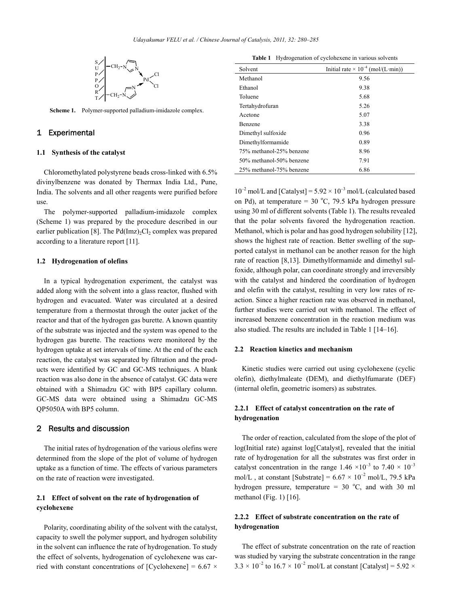

**Scheme 1.** Polymer-supported palladium-imidazole complex.

## 1 Experimental

#### **1.1 Synthesis of the catalyst**

Chloromethylated polystyrene beads cross-linked with 6.5% divinylbenzene was donated by Thermax India Ltd., Pune, India. The solvents and all other reagents were purified before use.

The polymer-supported palladium-imidazole complex (Scheme 1) was prepared by the procedure described in our earlier publication [8]. The  $Pd(Imz)_{2}Cl_{2}$  complex was prepared according to a literature report [11].

### **1.2 Hydrogenation of olefins**

In a typical hydrogenation experiment, the catalyst was added along with the solvent into a glass reactor, flushed with hydrogen and evacuated. Water was circulated at a desired temperature from a thermostat through the outer jacket of the reactor and that of the hydrogen gas burette. A known quantity of the substrate was injected and the system was opened to the hydrogen gas burette. The reactions were monitored by the hydrogen uptake at set intervals of time. At the end of the each reaction, the catalyst was separated by filtration and the products were identified by GC and GC-MS techniques. A blank reaction was also done in the absence of catalyst. GC data were obtained with a Shimadzu GC with BP5 capillary column. GC-MS data were obtained using a Shimadzu GC-MS QP5050A with BP5 column.

# 2 Results and discussion

The initial rates of hydrogenation of the various olefins were determined from the slope of the plot of volume of hydrogen uptake as a function of time. The effects of various parameters on the rate of reaction were investigated.

# **2.1 Effect of solvent on the rate of hydrogenation of cyclohexene**

Polarity, coordinating ability of the solvent with the catalyst, capacity to swell the polymer support, and hydrogen solubility in the solvent can influence the rate of hydrogenation. To study the effect of solvents, hydrogenation of cyclohexene was carried with constant concentrations of [Cyclohexene] =  $6.67 \times$ 

**Table 1** Hydrogenation of cyclohexene in various solvents

| Solvent                  | Initial rate $\times 10^{-4}$ (mol/(L·min)) |
|--------------------------|---------------------------------------------|
| Methanol                 | 9.56                                        |
| Ethanol                  | 9.38                                        |
| Toluene                  | 5.68                                        |
| Tertahydrofuran          | 5.26                                        |
| Acetone                  | 5.07                                        |
| <b>Benzene</b>           | 3.38                                        |
| Dimethyl sulfoxide       | 0.96                                        |
| Dimethylformamide        | 0.89                                        |
| 75% methanol-25% benzene | 8.96                                        |
| 50% methanol-50% benzene | 7.91                                        |
| 25% methanol-75% benzene | 6.86                                        |

 $10^{-2}$  mol/L and [Catalyst] =  $5.92 \times 10^{-3}$  mol/L (calculated based on Pd), at temperature =  $30^{\circ}$ C, 79.5 kPa hydrogen pressure using 30 ml of different solvents (Table 1). The results revealed that the polar solvents favored the hydrogenation reaction. Methanol, which is polar and has good hydrogen solubility [12], shows the highest rate of reaction. Better swelling of the supported catalyst in methanol can be another reason for the high rate of reaction [8,13]. Dimethylformamide and dimethyl sulfoxide, although polar, can coordinate strongly and irreversibly with the catalyst and hindered the coordination of hydrogen and olefin with the catalyst, resulting in very low rates of reaction. Since a higher reaction rate was observed in methanol, further studies were carried out with methanol. The effect of increased benzene concentration in the reaction medium was also studied. The results are included in Table 1 [14–16].

#### **2.2 Reaction kinetics and mechanism**

Kinetic studies were carried out using cyclohexene (cyclic olefin), diethylmaleate (DEM), and diethylfumarate (DEF) (internal olefin, geometric isomers) as substrates.

# **2.2.1 Effect of catalyst concentration on the rate of hydrogenation**

The order of reaction, calculated from the slope of the plot of log(Initial rate) against log[Catalyst], revealed that the initial rate of hydrogenation for all the substrates was first order in catalyst concentration in the range  $1.46 \times 10^{-3}$  to  $7.40 \times 10^{-3}$ mol/L, at constant [Substrate] =  $6.67 \times 10^{-2}$  mol/L, 79.5 kPa hydrogen pressure, temperature =  $30^{\circ}$ C, and with 30 ml methanol (Fig. 1)  $[16]$ .

# **2.2.2 Effect of substrate concentration on the rate of hydrogenation**

The effect of substrate concentration on the rate of reaction was studied by varying the substrate concentration in the range  $3.3 \times 10^{-2}$  to  $16.7 \times 10^{-2}$  mol/L at constant [Catalyst] = 5.92  $\times$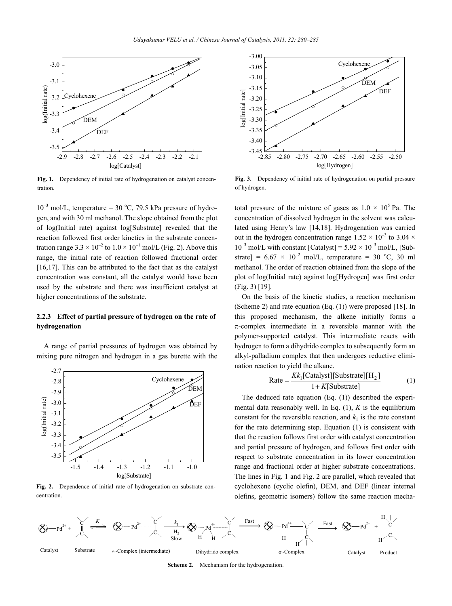

Fig. 1. Dependency of initial rate of hydrogenation on catalyst concentration.

 $10^{-3}$  mol/L, temperature = 30 °C, 79.5 kPa pressure of hydrogen, and with 30 ml methanol. The slope obtained from the plot of log(Initial rate) against log[Substrate] revealed that the reaction followed first order kinetics in the substrate concentration range  $3.3 \times 10^{-2}$  to  $1.0 \times 10^{-1}$  mol/L (Fig. 2). Above this range, the initial rate of reaction followed fractional order [16,17]. This can be attributed to the fact that as the catalyst concentration was constant, all the catalyst would have been used by the substrate and there was insufficient catalyst at higher concentrations of the substrate.

## **2.2.3 Effect of partial pressure of hydrogen on the rate of hydrogenation**

A range of partial pressures of hydrogen was obtained by mixing pure nitrogen and hydrogen in a gas burette with the



**Fig. 2.** Dependence of initial rate of hydrogenation on substrate concentration.



**Fig. 3.** Dependency of initial rate of hydrogenation on partial pressure of hydrogen.

total pressure of the mixture of gases as  $1.0 \times 10^5$  Pa. The concentration of dissolved hydrogen in the solvent was calculated using Henry's law [14,18]. Hydrogenation was carried out in the hydrogen concentration range  $1.52 \times 10^{-3}$  to 3.04  $\times$  $10^{-3}$  mol/L with constant [Catalyst] =  $5.92 \times 10^{-3}$  mol/L, [Substrate] =  $6.67 \times 10^{-2}$  mol/L, temperature = 30 °C, 30 ml methanol. The order of reaction obtained from the slope of the plot of log(Initial rate) against log[Hydrogen] was first order (Fig. 3) [19].

On the basis of the kinetic studies, a reaction mechanism (Scheme 2) and rate equation (Eq. (1)) were proposed [18]. In this proposed mechanism, the alkene initially forms a  $\pi$ -complex intermediate in a reversible manner with the polymer-supported catalyst. This intermediate reacts with hydrogen to form a dihydrido complex to subsequently form an alkyl-palladium complex that then undergoes reductive elimination reaction to yield the alkane.

$$
Rate = \frac{Kk_1[Calayst][Substrate][H_2]}{1 + K[Substrate]}
$$
 (1)

The deduced rate equation (Eq. (1)) described the experimental data reasonably well. In Eq. (1), *K* is the equilibrium constant for the reversible reaction, and  $k_1$  is the rate constant for the rate determining step. Equation (1) is consistent with that the reaction follows first order with catalyst concentration and partial pressure of hydrogen, and follows first order with respect to substrate concentration in its lower concentration range and fractional order at higher substrate concentrations. The lines in Fig. 1 and Fig. 2 are parallel, which revealed that cyclohexene (cyclic olefin), DEM, and DEF (linear internal olefins, geometric isomers) follow the same reaction mecha-



**Scheme 2.** Mechanism for the hydrogenation.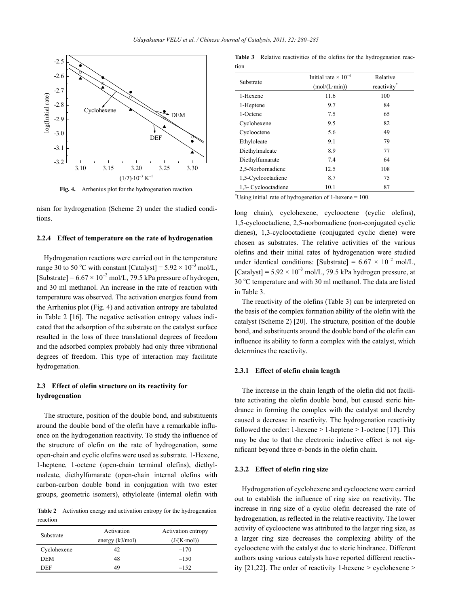

**Fig. 4.** Arrhenius plot for the hydrogenation reaction.

nism for hydrogenation (Scheme 2) under the studied conditions.

#### **2.2.4 Effect of temperature on the rate of hydrogenation**

Hydrogenation reactions were carried out in the temperature range 30 to 50 °C with constant  $[{\rm Catalyst}] = 5.92 \times 10^{-3}$  mol/L, [Substrate] =  $6.67 \times 10^{-2}$  mol/L, 79.5 kPa pressure of hydrogen, and 30 ml methanol. An increase in the rate of reaction with temperature was observed. The activation energies found from the Arrhenius plot (Fig. 4) and activation entropy are tabulated in Table 2 [16]. The negative activation entropy values indicated that the adsorption of the substrate on the catalyst surface resulted in the loss of three translational degrees of freedom and the adsorbed complex probably had only three vibrational degrees of freedom. This type of interaction may facilitate hydrogenation.

# **2.3 Effect of olefin structure on its reactivity for hydrogenation**

The structure, position of the double bond, and substituents around the double bond of the olefin have a remarkable influence on the hydrogenation reactivity. To study the influence of the structure of olefin on the rate of hydrogenation, some open-chain and cyclic olefins were used as substrate. 1-Hexene, 1-heptene, 1-octene (open-chain terminal olefins), diethylmaleate, diethylfumarate (open-chain internal olefins with carbon-carbon double bond in conjugation with two ester groups, geometric isomers), ethyloleate (internal olefin with

**Table 2** Activation energy and activation entropy for the hydrogenation reaction

| Substrate   | Activation<br>energy $(kJ/mol)$ | Activation entropy<br>$(J/(K \cdot mol))$ |
|-------------|---------------------------------|-------------------------------------------|
| Cyclohexene | 42                              | $-170$                                    |
| <b>DEM</b>  | 48                              | $-150$                                    |
| DEF         | 49                              | $-152$                                    |

**Table 3** Relative reactivities of the olefins for the hydrogenation reaction

| Substrate           | Initial rate $\times 10^{-4}$<br>(mol/(L·min)) | Relative<br>reactivity <sup>*</sup> |  |
|---------------------|------------------------------------------------|-------------------------------------|--|
| 1-Hexene            | 11.6                                           | 100                                 |  |
| 1-Heptene           | 9.7                                            | 84                                  |  |
| 1-Octene            | 7.5                                            | 65                                  |  |
| Cyclohexene         | 9.5                                            | 82                                  |  |
| Cyclooctene         | 5.6                                            | 49                                  |  |
| Ethyloleate         | 9.1                                            | 79                                  |  |
| Diethylmaleate      | 8.9                                            | 77                                  |  |
| Diethylfumarate     | 7.4                                            | 64                                  |  |
| 2,5-Norbornadiene   | 12.5                                           | 108                                 |  |
| 1,5-Cyclooctadiene  | 8.7                                            | 75                                  |  |
| 1,3- Cyclooctadiene | 10.1                                           | 87                                  |  |
|                     |                                                |                                     |  |

\* Using initia1 rate of hydrogenation of 1-hexene = 100.

long chain), cyclohexene, cyclooctene (cyclic olefins), 1,5-cyclooctadiene, 2,5-norbornadiene (non-conjugated cyclic dienes), 1,3-cyclooctadiene (conjugated cyclic diene) were chosen as substrates. The relative activities of the various olefins and their initial rates of hydrogenation were studied under identical conditions: [Substrate] =  $6.67 \times 10^{-2}$  mol/L, [Catalyst] =  $5.92 \times 10^{-3}$  mol/L, 79.5 kPa hydrogen pressure, at 30 °C temperature and with 30 ml methanol. The data are listed in Table 3.

The reactivity of the olefins (Table 3) can be interpreted on the basis of the complex formation ability of the olefin with the catalyst (Scheme 2) [20]. The structure, position of the double bond, and substituents around the double bond of the olefin can influence its ability to form a complex with the catalyst, which determines the reactivity.

### **2.3.1 Effect of olefin chain length**

The increase in the chain length of the olefin did not facilitate activating the olefin double bond, but caused steric hindrance in forming the complex with the catalyst and thereby caused a decrease in reactivity. The hydrogenation reactivity followed the order: 1-hexene  $> 1$ -heptene  $> 1$ -octene [17]. This may be due to that the electronic inductive effect is not significant beyond three  $\sigma$ -bonds in the olefin chain.

#### **2.3.2 Effect of olefin ring size**

Hydrogenation of cyclohexene and cyclooctene were carried out to establish the influence of ring size on reactivity. The increase in ring size of a cyclic olefin decreased the rate of hydrogenation, as reflected in the relative reactivity. The lower activity of cyclooctene was attributed to the larger ring size, as a larger ring size decreases the complexing ability of the cyclooctene with the catalyst due to steric hindrance. Different authors using various catalysts have reported different reactivity  $[21,22]$ . The order of reactivity 1-hexene > cyclohexene >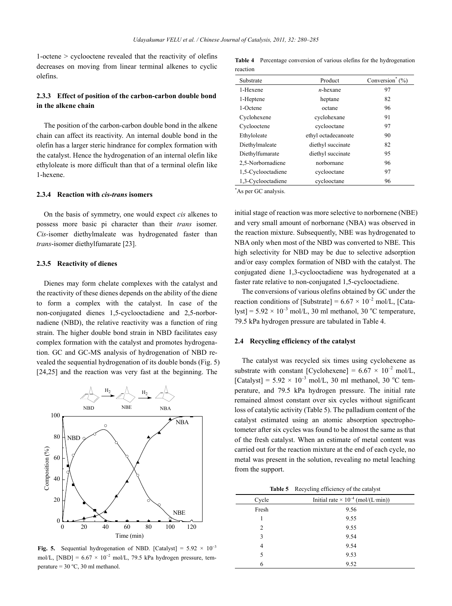1-octene > cyclooctene revealed that the reactivity of olefins decreases on moving from linear terminal alkenes to cyclic olefins.

# **2.3.3 Effect of position of the carbon-carbon double bond in the alkene chain**

The position of the carbon-carbon double bond in the alkene chain can affect its reactivity. An internal double bond in the olefin has a larger steric hindrance for complex formation with the catalyst. Hence the hydrogenation of an internal olefin like ethyloleate is more difficult than that of a terminal olefin like 1-hexene.

## **2.3.4 Reaction with** *cis***-***trans* **isomers**

On the basis of symmetry, one would expect *cis* alkenes to possess more basic pi character than their *trans* isomer. *Cis-*isomer diethylmaleate was hydrogenated faster than *trans*-isomer diethylfumarate [23].

#### **2.3.5 Reactivity of dienes**

Dienes may form chelate complexes with the catalyst and the reactivity of these dienes depends on the ability of the diene to form a complex with the catalyst. In case of the non-conjugated dienes 1,5-cyclooctadiene and 2,5-norbornadiene (NBD), the relative reactivity was a function of ring strain. The higher double bond strain in NBD facilitates easy complex formation with the catalyst and promotes hydrogenation. GC and GC-MS analysis of hydrogenation of NBD revealed the sequential hydrogenation of its double bonds (Fig. 5) [24,25] and the reaction was very fast at the beginning. The



**Fig. 5.** Sequential hydrogenation of NBD. [Catalyst] =  $5.92 \times 10^{-3}$ mol/L, [NBD] =  $6.67 \times 10^{-2}$  mol/L, 79.5 kPa hydrogen pressure, temperature =  $30^{\circ}$ C,  $30$  ml methanol.

**Table 4** Percentage conversion of various olefins for the hydrogenation reaction

| Substrate          | Product             | Conversion <sup>®</sup><br>(%) |
|--------------------|---------------------|--------------------------------|
| 1-Hexene           | $n$ -hexane         | 97                             |
| 1-Heptene          | heptane             | 82                             |
| 1-Octene           | octane              | 96                             |
| Cyclohexene        | cyclohexane         | 91                             |
| Cyclooctene        | cyclooctane         | 97                             |
| Ethyloleate        | ethyl octadecanoate | 90                             |
| Diethylmaleate     | diethyl succinate   | 82                             |
| Diethylfumarate    | diethyl succinate   | 95                             |
| 2,5-Norbornadiene  | norbornane          | 96                             |
| 1,5-Cyclooctadiene | cyclooctane         | 97                             |
| 1,3-Cyclooctadiene | cyclooctane         | 96                             |

\* As per GC analysis.

initial stage of reaction was more selective to norbornene (NBE) and very small amount of norbornane (NBA) was observed in the reaction mixture. Subsequently, NBE was hydrogenated to NBA only when most of the NBD was converted to NBE. This high selectivity for NBD may be due to selective adsorption and/or easy complex formation of NBD with the catalyst. The conjugated diene 1,3-cyclooctadiene was hydrogenated at a faster rate relative to non-conjugated 1,5-cyclooctadiene.

The conversions of various olefins obtained by GC under the reaction conditions of [Substrate] =  $6.67 \times 10^{-2}$  mol/L, [Cata- $\text{lyst}$ ] = 5.92  $\times$  10<sup>-3</sup> mol/L, 30 ml methanol, 30 °C temperature, 79.5 kPa hydrogen pressure are tabulated in Table 4.

#### **2.4 Recycling efficiency of the catalyst**

The catalyst was recycled six times using cyclohexene as substrate with constant [Cyclohexene] =  $6.67 \times 10^{-2}$  mol/L, [Catalyst] =  $5.92 \times 10^{-3}$  mol/L, 30 ml methanol, 30 °C temperature, and 79.5 kPa hydrogen pressure. The initial rate remained almost constant over six cycles without significant loss of catalytic activity (Table 5). The palladium content of the catalyst estimated using an atomic absorption spectrophotometer after six cycles was found to be almost the same as that of the fresh catalyst. When an estimate of metal content was carried out for the reaction mixture at the end of each cycle, no metal was present in the solution, revealing no metal leaching from the support.

**Table 5** Recycling efficiency of the catalyst

| Cycle | Initial rate $\times 10^{-4}$ (mol/(L·min)) |  |
|-------|---------------------------------------------|--|
| Fresh | 9.56                                        |  |
|       | 9.55                                        |  |
| 2     | 9.55                                        |  |
| 3     | 9.54                                        |  |
| 4     | 9.54                                        |  |
| 5     | 9.53                                        |  |
| 6     | 9.52                                        |  |